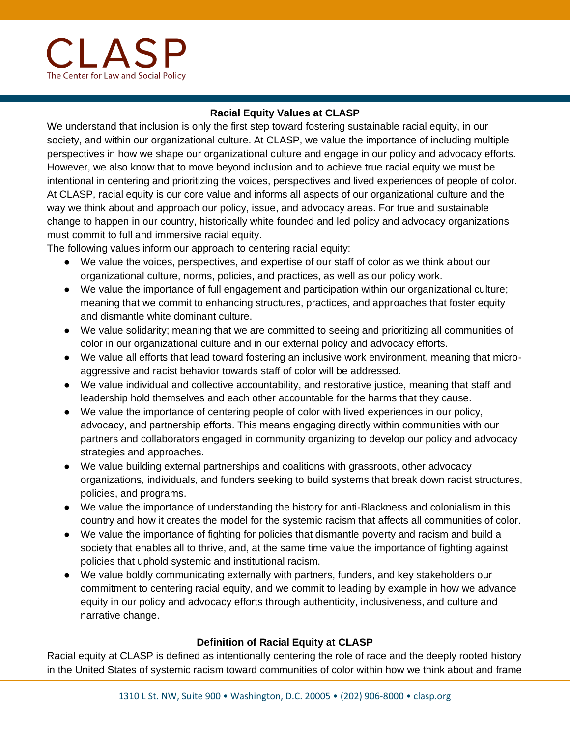

## **Racial Equity Values at CLASP**

We understand that inclusion is only the first step toward fostering sustainable racial equity, in our society, and within our organizational culture. At CLASP, we value the importance of including multiple perspectives in how we shape our organizational culture and engage in our policy and advocacy efforts. However, we also know that to move beyond inclusion and to achieve true racial equity we must be intentional in centering and prioritizing the voices, perspectives and lived experiences of people of color. At CLASP, racial equity is our core value and informs all aspects of our organizational culture and the way we think about and approach our policy, issue, and advocacy areas. For true and sustainable change to happen in our country, historically white founded and led policy and advocacy organizations must commit to full and immersive racial equity.

The following values inform our approach to centering racial equity:

- We value the voices, perspectives, and expertise of our staff of color as we think about our organizational culture, norms, policies, and practices, as well as our policy work.
- We value the importance of full engagement and participation within our organizational culture; meaning that we commit to enhancing structures, practices, and approaches that foster equity and dismantle white dominant culture.
- We value solidarity; meaning that we are committed to seeing and prioritizing all communities of color in our organizational culture and in our external policy and advocacy efforts.
- We value all efforts that lead toward fostering an inclusive work environment, meaning that microaggressive and racist behavior towards staff of color will be addressed.
- We value individual and collective accountability, and restorative justice, meaning that staff and leadership hold themselves and each other accountable for the harms that they cause.
- We value the importance of centering people of color with lived experiences in our policy, advocacy, and partnership efforts. This means engaging directly within communities with our partners and collaborators engaged in community organizing to develop our policy and advocacy strategies and approaches.
- We value building external partnerships and coalitions with grassroots, other advocacy organizations, individuals, and funders seeking to build systems that break down racist structures, policies, and programs.
- We value the importance of understanding the history for anti-Blackness and colonialism in this country and how it creates the model for the systemic racism that affects all communities of color.
- We value the importance of fighting for policies that dismantle poverty and racism and build a society that enables all to thrive, and, at the same time value the importance of fighting against policies that uphold systemic and institutional racism.
- We value boldly communicating externally with partners, funders, and key stakeholders our commitment to centering racial equity, and we commit to leading by example in how we advance equity in our policy and advocacy efforts through authenticity, inclusiveness, and culture and narrative change.

## **Definition of Racial Equity at CLASP**

Racial equity at CLASP is defined as intentionally centering the role of race and the deeply rooted history in the United States of systemic racism toward communities of color within how we think about and frame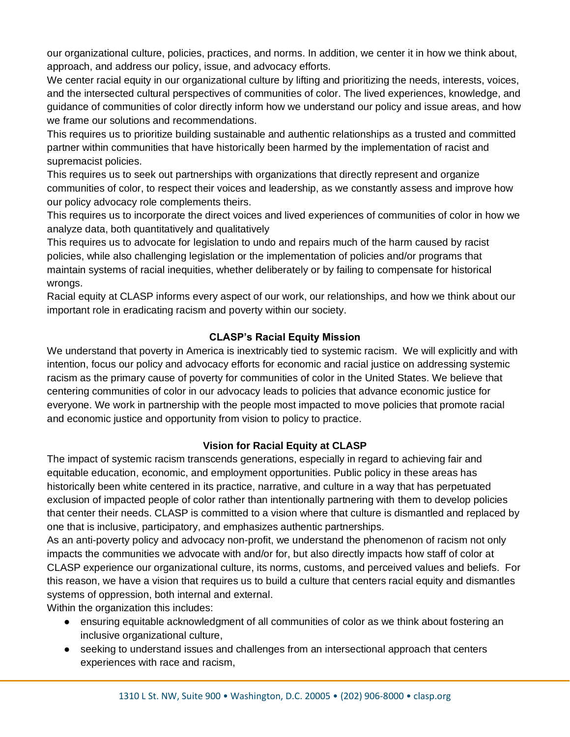our organizational culture, policies, practices, and norms. In addition, we center it in how we think about, approach, and address our policy, issue, and advocacy efforts.

We center racial equity in our organizational culture by lifting and prioritizing the needs, interests, voices, and the intersected cultural perspectives of communities of color. The lived experiences, knowledge, and guidance of communities of color directly inform how we understand our policy and issue areas, and how we frame our solutions and recommendations.

This requires us to prioritize building sustainable and authentic relationships as a trusted and committed partner within communities that have historically been harmed by the implementation of racist and supremacist policies.

This requires us to seek out partnerships with organizations that directly represent and organize communities of color, to respect their voices and leadership, as we constantly assess and improve how our policy advocacy role complements theirs.

This requires us to incorporate the direct voices and lived experiences of communities of color in how we analyze data, both quantitatively and qualitatively

This requires us to advocate for legislation to undo and repairs much of the harm caused by racist policies, while also challenging legislation or the implementation of policies and/or programs that maintain systems of racial inequities, whether deliberately or by failing to compensate for historical wrongs.

Racial equity at CLASP informs every aspect of our work, our relationships, and how we think about our important role in eradicating racism and poverty within our society.

## **CLASP's Racial Equity Mission**

We understand that poverty in America is inextricably tied to systemic racism. We will explicitly and with intention, focus our policy and advocacy efforts for economic and racial justice on addressing systemic racism as the primary cause of poverty for communities of color in the United States. We believe that centering communities of color in our advocacy leads to policies that advance economic justice for everyone. We work in partnership with the people most impacted to move policies that promote racial and economic justice and opportunity from vision to policy to practice.

## **Vision for Racial Equity at CLASP**

The impact of systemic racism transcends generations, especially in regard to achieving fair and equitable education, economic, and employment opportunities. Public policy in these areas has historically been white centered in its practice, narrative, and culture in a way that has perpetuated exclusion of impacted people of color rather than intentionally partnering with them to develop policies that center their needs. CLASP is committed to a vision where that culture is dismantled and replaced by one that is inclusive, participatory, and emphasizes authentic partnerships.

As an anti-poverty policy and advocacy non-profit, we understand the phenomenon of racism not only impacts the communities we advocate with and/or for, but also directly impacts how staff of color at CLASP experience our organizational culture, its norms, customs, and perceived values and beliefs. For this reason, we have a vision that requires us to build a culture that centers racial equity and dismantles systems of oppression, both internal and external.

Within the organization this includes:

- ensuring equitable acknowledgment of all communities of color as we think about fostering an inclusive organizational culture,
- seeking to understand issues and challenges from an intersectional approach that centers experiences with race and racism,